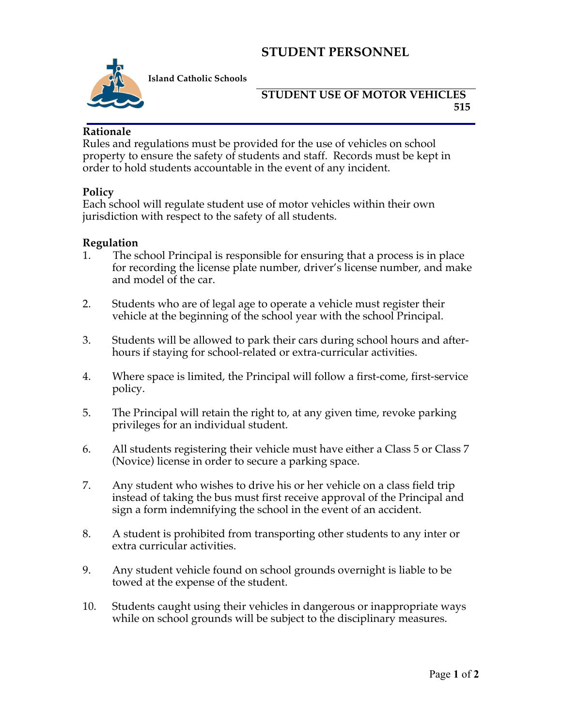## **STUDENT PERSONNEL**



**Island Catholic Schools** 

### **STUDENT USE OF MOTOR VEHICLES 515**

#### **Rationale**

Rules and regulations must be provided for the use of vehicles on school property to ensure the safety of students and staff. Records must be kept in order to hold students accountable in the event of any incident.

#### **Policy**

Each school will regulate student use of motor vehicles within their own jurisdiction with respect to the safety of all students.

#### **Regulation**

- 1. The school Principal is responsible for ensuring that a process is in place for recording the license plate number, driver's license number, and make and model of the car.
- 2. Students who are of legal age to operate a vehicle must register their vehicle at the beginning of the school year with the school Principal.
- 3. Students will be allowed to park their cars during school hours and afterhours if staying for school-related or extra-curricular activities.
- 4. Where space is limited, the Principal will follow a first-come, first-service policy.
- 5. The Principal will retain the right to, at any given time, revoke parking privileges for an individual student.
- 6. All students registering their vehicle must have either a Class 5 or Class 7 (Novice) license in order to secure a parking space.
- 7. Any student who wishes to drive his or her vehicle on a class field trip instead of taking the bus must first receive approval of the Principal and sign a form indemnifying the school in the event of an accident.
- 8. A student is prohibited from transporting other students to any inter or extra curricular activities.
- 9. Any student vehicle found on school grounds overnight is liable to be towed at the expense of the student.
- 10. Students caught using their vehicles in dangerous or inappropriate ways while on school grounds will be subject to the disciplinary measures.